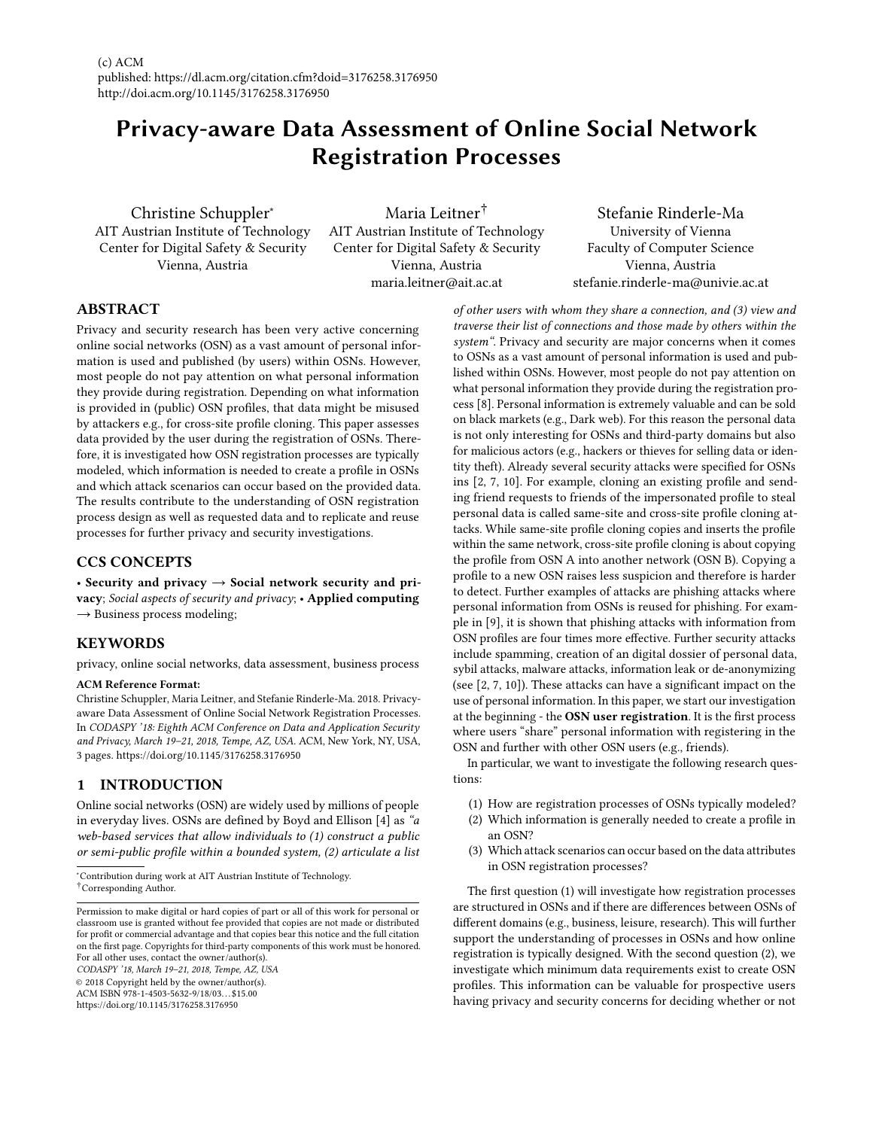# Privacy-aware Data Assessment of Online Social Network Registration Processes

Christine Schuppler<sup>∗</sup> AIT Austrian Institute of Technology Center for Digital Safety & Security Vienna, Austria

Maria Leitner† AIT Austrian Institute of Technology Center for Digital Safety & Security Vienna, Austria maria.leitner@ait.ac.at

Stefanie Rinderle-Ma University of Vienna Faculty of Computer Science Vienna, Austria stefanie.rinderle-ma@univie.ac.at

# ABSTRACT

Privacy and security research has been very active concerning online social networks (OSN) as a vast amount of personal information is used and published (by users) within OSNs. However, most people do not pay attention on what personal information they provide during registration. Depending on what information is provided in (public) OSN profiles, that data might be misused by attackers e.g., for cross-site profile cloning. This paper assesses data provided by the user during the registration of OSNs. Therefore, it is investigated how OSN registration processes are typically modeled, which information is needed to create a profile in OSNs and which attack scenarios can occur based on the provided data. The results contribute to the understanding of OSN registration process design as well as requested data and to replicate and reuse processes for further privacy and security investigations.

## CCS CONCEPTS

• Security and privacy  $\rightarrow$  Social network security and privacy; Social aspects of security and privacy; • Applied computing  $\rightarrow$  Business process modeling;

## **KEYWORDS**

privacy, online social networks, data assessment, business process

#### ACM Reference Format:

Christine Schuppler, Maria Leitner, and Stefanie Rinderle-Ma. 2018. Privacyaware Data Assessment of Online Social Network Registration Processes. In CODASPY '18: Eighth ACM Conference on Data and Application Security and Privacy, March 19–21, 2018, Tempe, AZ, USA. ACM, New York, NY, USA, [3](#page-2-0) pages.<https://doi.org/10.1145/3176258.3176950>

# <span id="page-0-0"></span>1 INTRODUCTION

Online social networks (OSN) are widely used by millions of people in everyday lives. OSNs are defined by Boyd and Ellison [\[4\]](#page-2-1) as "a web-based services that allow individuals to (1) construct a public or semi-public profile within a bounded system, (2) articulate a list

<sup>∗</sup>Contribution during work at AIT Austrian Institute of Technology.

CODASPY '18, March 19–21, 2018, Tempe, AZ, USA

© 2018 Copyright held by the owner/author(s).

ACM ISBN 978-1-4503-5632-9/18/03. . . \$15.00

<https://doi.org/10.1145/3176258.3176950>

of other users with whom they share a connection, and (3) view and traverse their list of connections and those made by others within the system". Privacy and security are major concerns when it comes to OSNs as a vast amount of personal information is used and published within OSNs. However, most people do not pay attention on what personal information they provide during the registration process [\[8\]](#page-2-2). Personal information is extremely valuable and can be sold on black markets (e.g., Dark web). For this reason the personal data is not only interesting for OSNs and third-party domains but also for malicious actors (e.g., hackers or thieves for selling data or identity theft). Already several security attacks were specified for OSNs ins [\[2,](#page-2-3) [7,](#page-2-4) [10\]](#page-2-5). For example, cloning an existing profile and sending friend requests to friends of the impersonated profile to steal personal data is called same-site and cross-site profile cloning attacks. While same-site profile cloning copies and inserts the profile within the same network, cross-site profile cloning is about copying the profile from OSN A into another network (OSN B). Copying a profile to a new OSN raises less suspicion and therefore is harder to detect. Further examples of attacks are phishing attacks where personal information from OSNs is reused for phishing. For example in [\[9\]](#page-2-6), it is shown that phishing attacks with information from OSN profiles are four times more effective. Further security attacks include spamming, creation of an digital dossier of personal data, sybil attacks, malware attacks, information leak or de-anonymizing (see [\[2,](#page-2-3) [7,](#page-2-4) [10\]](#page-2-5)). These attacks can have a significant impact on the use of personal information. In this paper, we start our investigation at the beginning - the OSN user registration. It is the first process where users "share" personal information with registering in the OSN and further with other OSN users (e.g., friends).

In particular, we want to investigate the following research questions:

- (1) How are registration processes of OSNs typically modeled?
- (2) Which information is generally needed to create a profile in an OSN?
- (3) Which attack scenarios can occur based on the data attributes in OSN registration processes?

The first question (1) will investigate how registration processes are structured in OSNs and if there are differences between OSNs of different domains (e.g., business, leisure, research). This will further support the understanding of processes in OSNs and how online registration is typically designed. With the second question (2), we investigate which minimum data requirements exist to create OSN profiles. This information can be valuable for prospective users having privacy and security concerns for deciding whether or not

<sup>†</sup>Corresponding Author.

Permission to make digital or hard copies of part or all of this work for personal or classroom use is granted without fee provided that copies are not made or distributed for profit or commercial advantage and that copies bear this notice and the full citation on the first page. Copyrights for third-party components of this work must be honored. For all other uses, contact the owner/author(s).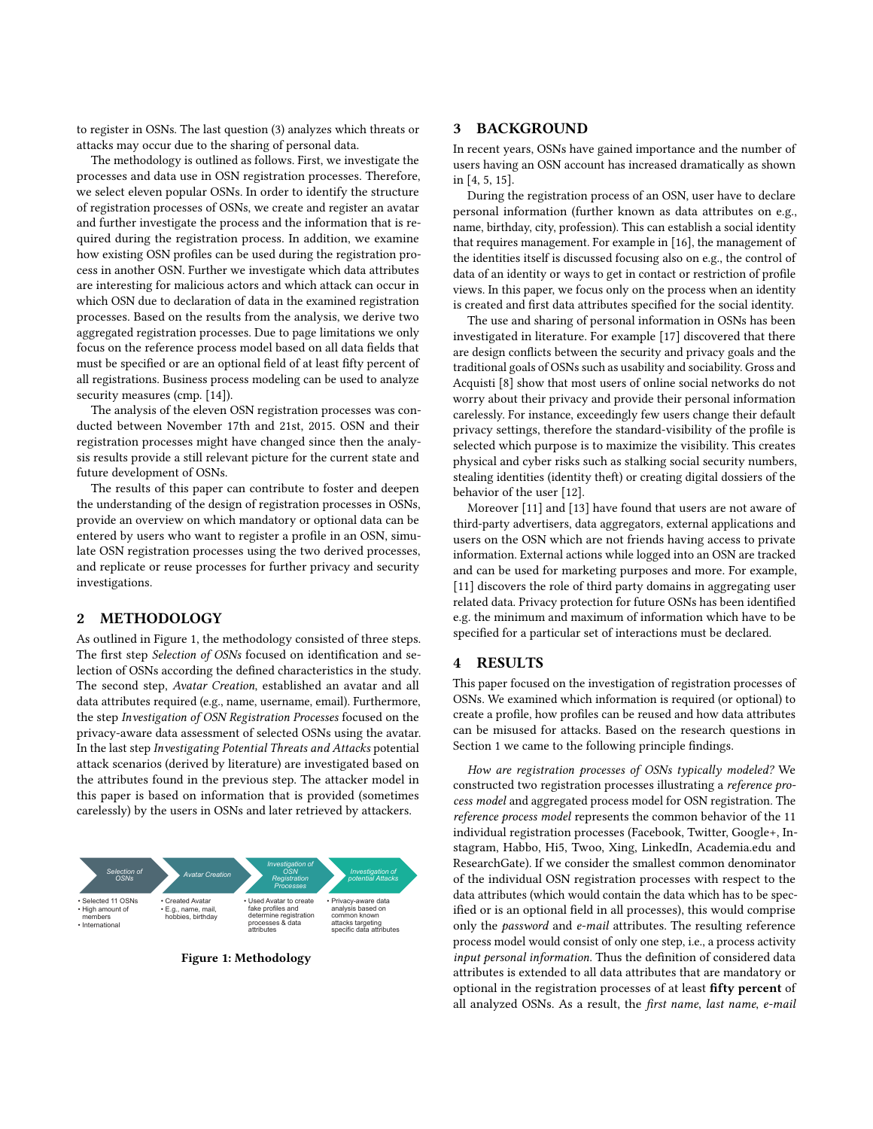to register in OSNs. The last question (3) analyzes which threats or attacks may occur due to the sharing of personal data.

The methodology is outlined as follows. First, we investigate the processes and data use in OSN registration processes. Therefore, we select eleven popular OSNs. In order to identify the structure of registration processes of OSNs, we create and register an avatar and further investigate the process and the information that is required during the registration process. In addition, we examine how existing OSN profiles can be used during the registration process in another OSN. Further we investigate which data attributes are interesting for malicious actors and which attack can occur in which OSN due to declaration of data in the examined registration processes. Based on the results from the analysis, we derive two aggregated registration processes. Due to page limitations we only focus on the reference process model based on all data fields that must be specified or are an optional field of at least fifty percent of all registrations. Business process modeling can be used to analyze security measures (cmp. [\[14\]](#page-2-7)).

The analysis of the eleven OSN registration processes was conducted between November 17th and 21st, 2015. OSN and their registration processes might have changed since then the analysis results provide a still relevant picture for the current state and future development of OSNs.

The results of this paper can contribute to foster and deepen the understanding of the design of registration processes in OSNs, provide an overview on which mandatory or optional data can be entered by users who want to register a profile in an OSN, simulate OSN registration processes using the two derived processes, and replicate or reuse processes for further privacy and security investigations.

## 2 METHODOLOGY

As outlined in Figure [1,](#page-1-0) the methodology consisted of three steps. The first step Selection of OSNs focused on identification and selection of OSNs according the defined characteristics in the study. The second step, Avatar Creation, established an avatar and all data attributes required (e.g., name, username, email). Furthermore, the step Investigation of OSN Registration Processes focused on the privacy-aware data assessment of selected OSNs using the avatar. In the last step Investigating Potential Threats and Attacks potential attack scenarios (derived by literature) are investigated based on the attributes found in the previous step. The attacker model in this paper is based on information that is provided (sometimes carelessly) by the users in OSNs and later retrieved by attackers.

<span id="page-1-0"></span>

Figure 1: Methodology

#### 3 BACKGROUND

In recent years, OSNs have gained importance and the number of users having an OSN account has increased dramatically as shown in [\[4,](#page-2-1) [5,](#page-2-8) [15\]](#page-2-9).

During the registration process of an OSN, user have to declare personal information (further known as data attributes on e.g., name, birthday, city, profession). This can establish a social identity that requires management. For example in [\[16\]](#page-2-10), the management of the identities itself is discussed focusing also on e.g., the control of data of an identity or ways to get in contact or restriction of profile views. In this paper, we focus only on the process when an identity is created and first data attributes specified for the social identity.

The use and sharing of personal information in OSNs has been investigated in literature. For example [\[17\]](#page-2-11) discovered that there are design conflicts between the security and privacy goals and the traditional goals of OSNs such as usability and sociability. Gross and Acquisti [\[8\]](#page-2-2) show that most users of online social networks do not worry about their privacy and provide their personal information carelessly. For instance, exceedingly few users change their default privacy settings, therefore the standard-visibility of the profile is selected which purpose is to maximize the visibility. This creates physical and cyber risks such as stalking social security numbers, stealing identities (identity theft) or creating digital dossiers of the behavior of the user [\[12\]](#page-2-12).

Moreover [\[11\]](#page-2-13) and [\[13\]](#page-2-14) have found that users are not aware of third-party advertisers, data aggregators, external applications and users on the OSN which are not friends having access to private information. External actions while logged into an OSN are tracked and can be used for marketing purposes and more. For example, [\[11\]](#page-2-13) discovers the role of third party domains in aggregating user related data. Privacy protection for future OSNs has been identified e.g. the minimum and maximum of information which have to be specified for a particular set of interactions must be declared.

#### 4 RESULTS

This paper focused on the investigation of registration processes of OSNs. We examined which information is required (or optional) to create a profile, how profiles can be reused and how data attributes can be misused for attacks. Based on the research questions in Section [1](#page-0-0) we came to the following principle findings.

How are registration processes of OSNs typically modeled? We constructed two registration processes illustrating a reference process model and aggregated process model for OSN registration. The reference process model represents the common behavior of the 11 individual registration processes (Facebook, Twitter, Google+, Instagram, Habbo, Hi5, Twoo, Xing, LinkedIn, Academia.edu and ResearchGate). If we consider the smallest common denominator of the individual OSN registration processes with respect to the data attributes (which would contain the data which has to be specified or is an optional field in all processes), this would comprise only the password and e-mail attributes. The resulting reference process model would consist of only one step, i.e., a process activity input personal information. Thus the definition of considered data attributes is extended to all data attributes that are mandatory or optional in the registration processes of at least fifty percent of all analyzed OSNs. As a result, the first name, last name, e-mail